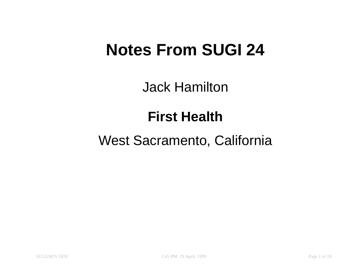## **Notes From SUGI 24**

Jack Hamilton

### **First Health**

#### West Sacramento, California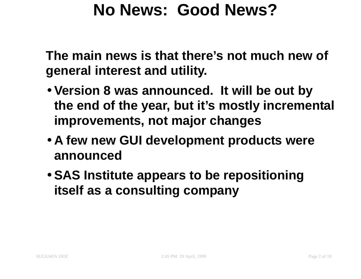## **No News: Good News?**

**The main news is that there's not much new of general interest and utility.**

- **Version 8 was announced. It will be out by the end of the year, but it's mostly incremental improvements, not major changes**
- **A few new GUI development products were announced**
- **SAS Institute appears to be repositioning itself as <sup>a</sup> consulting company**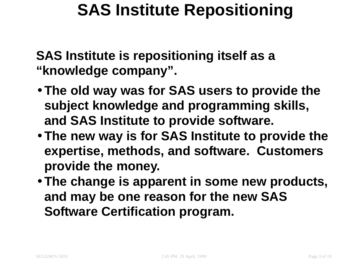## **SAS Institute Repositioning**

**SAS Institute is repositioning itself as <sup>a</sup> "knowledge company".**

- **The old way was for SAS users to provide the subject knowledge and programming skills, and SAS Institute to provide software.**
- **The new way is for SAS Institute to provide the expertise, methods, and software. Customers provide the money.**
- **The change is apparent in some new products, and may be one reason for the new SAS Software Certification program.**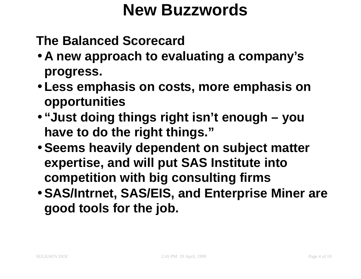## **New Buzzwords**

**The Balanced Scorecard**

- **A new approach to evaluating <sup>a</sup> company's progress.**
- **Less emphasis on costs, more emphasis on opportunities**
- **"Just doing things right isn't enough – you have to do the right things."**
- **Seems heavily dependent on subject matter expertise, and will put SAS Institute into competition with big consulting firms**
- **SAS/Intrnet, SAS/EIS, and Enterprise Miner are good tools for the job.**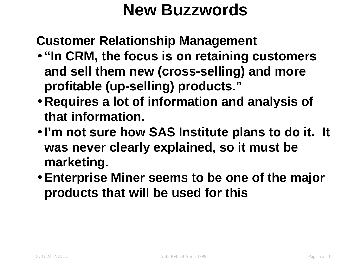## **New Buzzwords**

**Customer Relationship Management**

- **"In CRM, the focus is on retaining customers and sell them new (cross-selling) and more profitable (up-selling) products."**
- **Requires <sup>a</sup> lot of information and analysis of that information.**
- **I'm not sure how SAS Institute plans to do it. It was never clearly explained, so it must be marketing.**
- **Enterprise Miner seems to be one of the major products that will be used for this**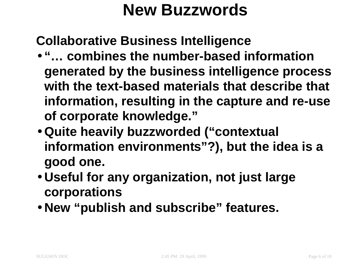## **New Buzzwords**

**Collaborative Business Intelligence**

- **"… combines the number-based information generated by the business intelligence process with the text-based materials that describe that information, resulting in the capture and re-use of corporate knowledge."**
- **Quite heavily buzzworded ("contextual information environments"?), but the idea is <sup>a</sup> good one.**
- **Useful for any organization, not just large corporations**
- **New "publish and subscribe" features.**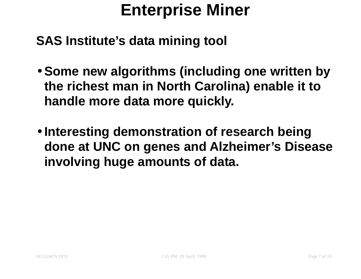# **Enterprise Miner**

**SAS Institute's data mining tool**

- **Some new algorithms (including one written by the richest man in North Carolina) enable it to handle more data more quickly.**
- **Interesting demonstration of research being done at UNC on genes and Alzheimer's Disease involving huge amounts of data.**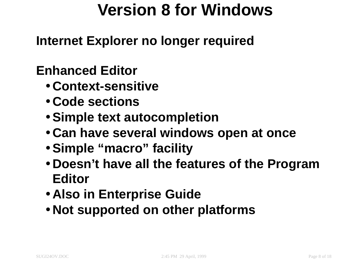# **Version 8 for Windows**

**Internet Explorer no longer required**

#### **Enhanced Editor**

- **Context-sensitive**
- **Code sections**
- **Simple text autocompletion**
- **Can have several windows open at once**
- **Simple "macro" facility**
- **Doesn't have all the features of the Program Editor**
- **Also in Enterprise Guide**
- **Not supported on other platforms**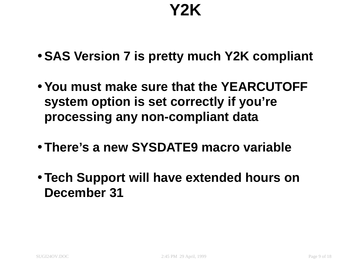# **Y2K**

- **SAS Version 7 is pretty much Y2K compliant**
- **You must make sure that the YEARCUTOFF system option is set correctly if you're processing any non-compliant data**
- **There's a new SYSDATE9 macro variable**
- **Tech Support will have extended hours on December 31**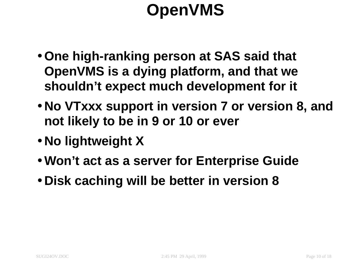# **OpenVMS**

- **One high-ranking person at SAS said that OpenVMS is <sup>a</sup> dying platform, and that we shouldn't expect much development for it**
- **No VTxxx support in version 7 or version 8, and not likely to be in 9 or 10 or ever**
- **No lightweight X**
- **Won't act as <sup>a</sup> server for Enterprise Guide**
- **Disk caching will be better in version 8**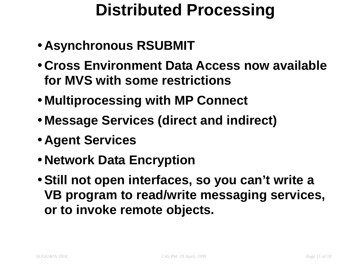# **Distributed Processing**

- **Asynchronous RSUBMIT**
- **Cross Environment Data Access now available for MVS with some restrictions**
- **Multiprocessing with MP Connect**
- **Message Services (direct and indirect)**
- **Agent Services**
- **Network Data Encryption**
- **Still not open interfaces, so you can't write <sup>a</sup> VB program to read/write messaging services, or to invoke remote objects.**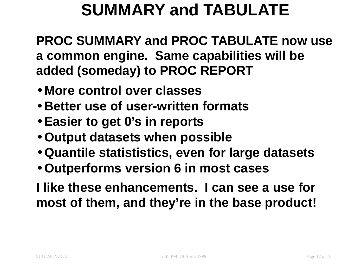# **SUMMARY and TABULATE**

**PROC SUMMARY and PROC TABULATE now use <sup>a</sup> common engine. Same capabilities will be added (someday) to PROC REPORT**

- **More control over classes**
- **Better use of user-written formats**
- **Easier to get 0's in reports**
- **Output datasets when possible**
- **Quantile statististics, even for large datasets**
- **Outperforms version 6 in most cases**

**I like these enhancements. I can see a use for most of them, and they're in the base product!**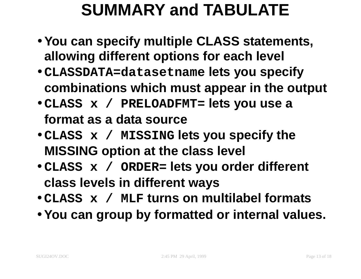# **SUMMARY and TABULATE**

- **You can specify multiple CLASS statements, allowing different options for each level**
- **CLASSDATA=datasetname lets you specify combinations which must appear in the output**
- **CLASS <sup>x</sup> / PRELOADFMT= lets you use <sup>a</sup> format as a data source**
- **CLASS <sup>x</sup> / MISSING lets you specify the MISSING option at the class level**
- **CLASS <sup>x</sup> / ORDER= lets you order different class levels in different ways**
- **CLASS <sup>x</sup> / MLF turns on multilabel formats**
- **You can group by formatted or internal values.**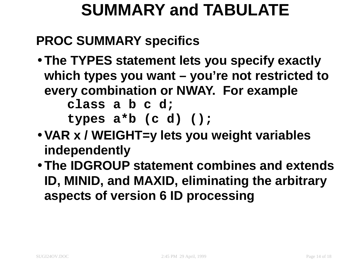# **SUMMARY and TABULATE**

### **PROC SUMMARY specifics**

- **The TYPES statement lets you specify exactly which types you want – you're not restricted to every combination or NWAY. For example class <sup>a</sup> b <sup>c</sup> d; types <sup>a</sup>\*b (c d) ();**
- **VAR <sup>x</sup> / WEIGHT=y lets you weight variables independently**
- **The IDGROUP statement combines and extends ID, MINID, and MAXID, eliminating the arbitrary aspects of version 6 ID processing**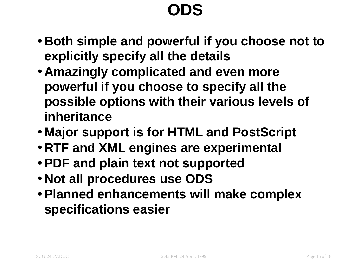# **ODS**

- **Both simple and powerful if you choose not to explicitly specify all the details**
- **Amazingly complicated and even more powerful if you choose to specify all the possible options with their various levels of inheritance**
- **Major support is for HTML and PostScript**
- **RTF and XML engines are experimental**
- **PDF and plain text not supported**
- **Not all procedures use ODS**
- **Planned enhancements will make complex specifications easier**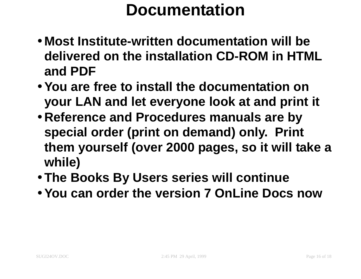## **Documentation**

- **Most Institute-written documentation will be delivered on the installation CD-ROM in HTML and PDF**
- **You are free to install the documentation on your LAN and let everyone look at and print it**
- **Reference and Procedures manuals are by special order (print on demand) only. Print them yourself (over 2000 pages, so it will take <sup>a</sup> while)**
- **The Books By Users series will continue**
- **You can order the version 7 OnLine Docs now**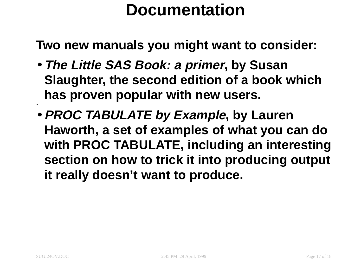## **Documentation**

**Two new manuals you might want to consider:**

- **The Little SAS Book: <sup>a</sup> primer, by Susan Slaughter, the second edition of <sup>a</sup> book which has proven popular with new users.**
- **PROC TABULATE by Example, by Lauren Haworth, <sup>a</sup> set of examples of what you can do with PROC TABULATE, including an interesting section on how to trick it into producing output it really doesn't want to produce.**

•